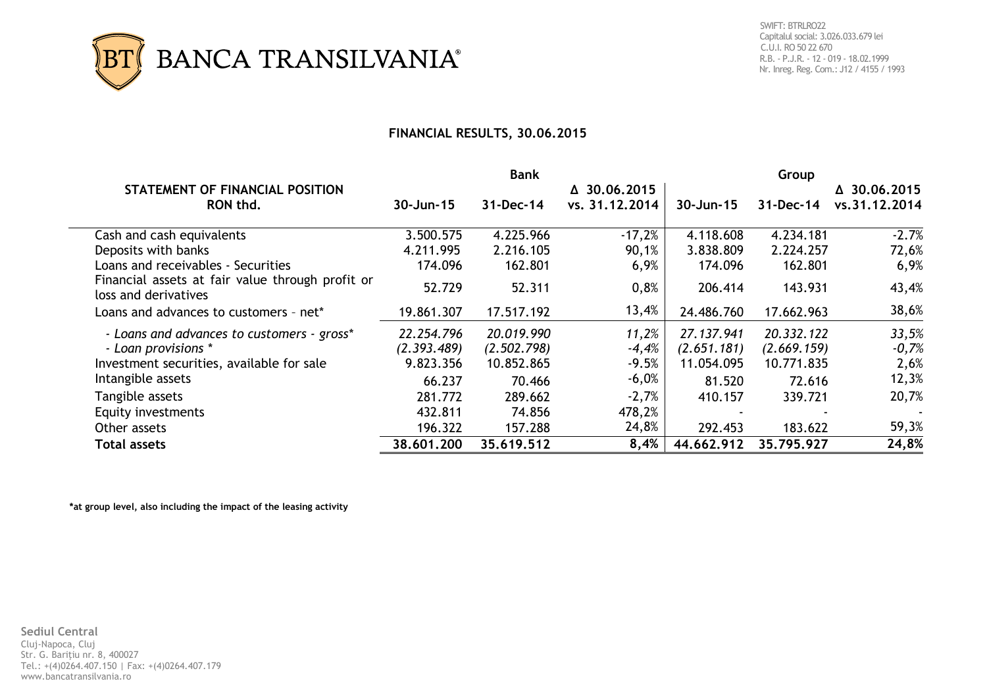

## **FINANCIAL RESULTS, 30.06.2015**

|                                                                          |                     | <b>Bank</b>  |                | Group               |              |               |  |
|--------------------------------------------------------------------------|---------------------|--------------|----------------|---------------------|--------------|---------------|--|
| STATEMENT OF FINANCIAL POSITION                                          | $\Delta$ 30.06.2015 |              |                | $\Delta$ 30.06.2015 |              |               |  |
| RON thd.                                                                 | 30-Jun-15           | $31$ -Dec-14 | vs. 31.12.2014 | $30 - Jun-15$       | $31$ -Dec-14 | vs.31.12.2014 |  |
| Cash and cash equivalents                                                | 3.500.575           | 4.225.966    | $-17,2%$       | 4.118.608           | 4.234.181    | $-2.7%$       |  |
| Deposits with banks                                                      | 4.211.995           | 2.216.105    | 90,1%          | 3.838.809           | 2.224.257    | 72,6%         |  |
| Loans and receivables - Securities                                       | 174.096             | 162.801      | 6,9%           | 174.096             | 162.801      | 6,9%          |  |
| Financial assets at fair value through profit or<br>loss and derivatives | 52.729              | 52.311       | 0,8%           | 206.414             | 143.931      | 43,4%         |  |
| Loans and advances to customers - net*                                   | 19.861.307          | 17.517.192   | 13,4%          | 24.486.760          | 17.662.963   | 38,6%         |  |
| - Loans and advances to customers - gross*                               | 22.254.796          | 20.019.990   | 11,2%          | 27.137.941          | 20.332.122   | 33,5%         |  |
| - Loan provisions *                                                      | (2.393.489)         | (2.502.798)  | $-4,4%$        | (2.651.181)         | (2.669.159)  | $-0,7%$       |  |
| Investment securities, available for sale                                | 9.823.356           | 10.852.865   | $-9.5%$        | 11.054.095          | 10.771.835   | 2,6%          |  |
| Intangible assets                                                        | 66.237              | 70.466       | $-6,0%$        | 81.520              | 72.616       | 12,3%         |  |
| Tangible assets                                                          | 281.772             | 289.662      | $-2,7%$        | 410.157             | 339.721      | 20,7%         |  |
| Equity investments                                                       | 432.811             | 74.856       | 478,2%         |                     |              |               |  |
| Other assets                                                             | 196.322             | 157.288      | 24,8%          | 292.453             | 183.622      | 59,3%         |  |
| <b>Total assets</b>                                                      | 38,601,200          | 35.619.512   | 8,4%           | 44,662,912          | 35.795.927   | 24,8%         |  |

**\*at group level, also including the impact of the leasing activity**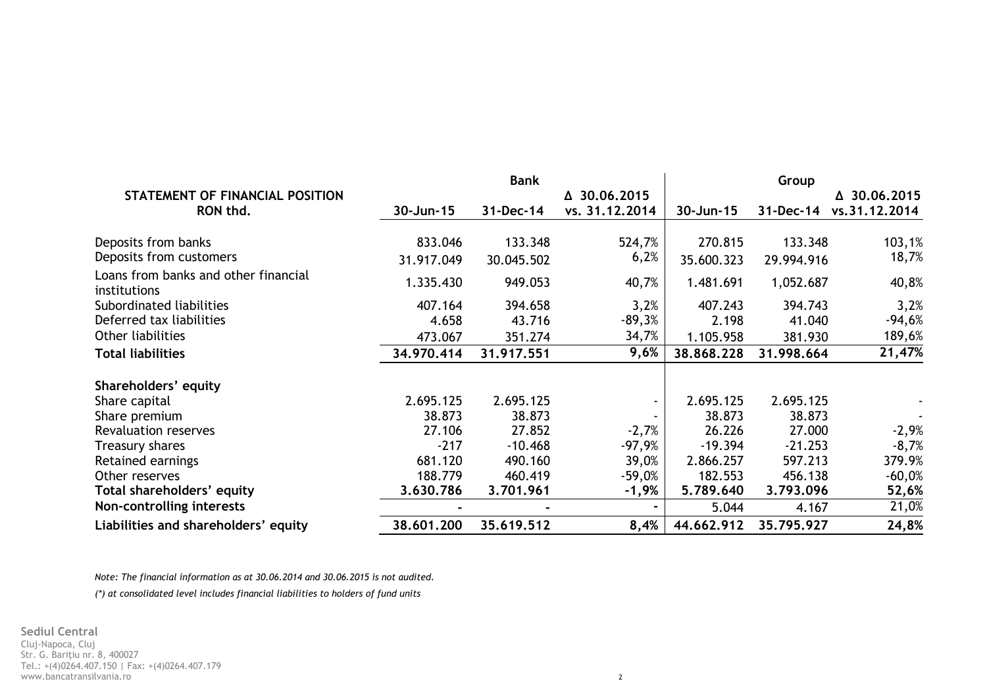|                                                      | <b>Bank</b> |            |                | Group      |            |               |  |
|------------------------------------------------------|-------------|------------|----------------|------------|------------|---------------|--|
| STATEMENT OF FINANCIAL POSITION                      |             |            | △ 30.06.2015   |            |            | △ 30.06.2015  |  |
| RON thd.                                             | 30-Jun-15   | 31-Dec-14  | vs. 31.12.2014 | 30-Jun-15  | 31-Dec-14  | vs.31.12.2014 |  |
| Deposits from banks                                  | 833.046     | 133.348    | 524,7%         | 270.815    | 133.348    | 103,1%        |  |
| Deposits from customers                              | 31.917.049  | 30.045.502 | 6,2%           | 35.600.323 | 29.994.916 | 18,7%         |  |
| Loans from banks and other financial<br>institutions | 1.335.430   | 949.053    | 40,7%          | 1.481.691  | 1,052.687  | 40,8%         |  |
| Subordinated liabilities                             | 407.164     | 394.658    | 3,2%           | 407.243    | 394.743    | 3,2%          |  |
| Deferred tax liabilities                             | 4.658       | 43.716     | $-89,3%$       | 2.198      | 41.040     | $-94,6%$      |  |
| Other liabilities                                    | 473.067     | 351.274    | 34,7%          | 1.105.958  | 381.930    | 189,6%        |  |
| <b>Total liabilities</b>                             | 34.970.414  | 31.917.551 | 9,6%           | 38,868,228 | 31.998.664 | 21,47%        |  |
| Shareholders' equity                                 |             |            |                |            |            |               |  |
| Share capital                                        | 2.695.125   | 2.695.125  |                | 2.695.125  | 2.695.125  |               |  |
| Share premium                                        | 38.873      | 38.873     |                | 38.873     | 38.873     |               |  |
| Revaluation reserves                                 | 27.106      | 27.852     | $-2,7%$        | 26.226     | 27.000     | $-2,9%$       |  |
| Treasury shares                                      | $-217$      | $-10.468$  | $-97,9%$       | $-19.394$  | $-21.253$  | $-8,7%$       |  |
| Retained earnings                                    | 681.120     | 490.160    | 39,0%          | 2.866.257  | 597.213    | 379.9%        |  |
| Other reserves                                       | 188.779     | 460.419    | $-59,0%$       | 182.553    | 456.138    | $-60,0%$      |  |
| Total shareholders' equity                           | 3.630.786   | 3.701.961  | -1,9%          | 5.789.640  | 3.793.096  | 52,6%         |  |
| Non-controlling interests                            |             |            |                | 5.044      | 4.167      | 21,0%         |  |
| Liabilities and shareholders' equity                 | 38,601,200  | 35.619.512 | 8,4%           | 44.662.912 | 35.795.927 | 24,8%         |  |

*Note: The financial information as at 30.06.2014 and 30.06.2015 is not audited.*

*(\*) at consolidated level includes financial liabilities to holders of fund units*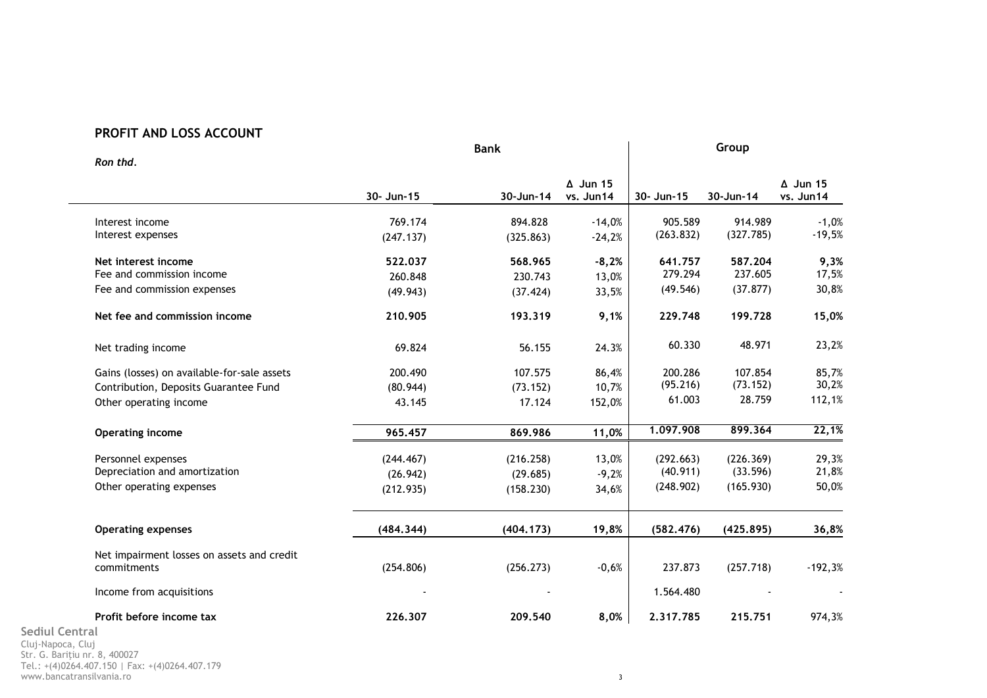## **PROFIT AND LOSS ACCOUNT**

| Ron thd.                                    |            | Group     |                              |            |           |                              |
|---------------------------------------------|------------|-----------|------------------------------|------------|-----------|------------------------------|
|                                             | 30- Jun-15 | 30-Jun-14 | $\Delta$ Jun 15<br>vs. Jun14 | 30- Jun-15 | 30-Jun-14 | $\Delta$ Jun 15<br>vs. Jun14 |
| Interest income                             | 769.174    | 894.828   | $-14,0%$                     | 905.589    | 914.989   | $-1,0%$                      |
| Interest expenses                           | (247.137)  | (325.863) | $-24,2%$                     | (263.832)  | (327.785) | $-19,5%$                     |
| Net interest income                         | 522.037    | 568.965   | $-8,2%$                      | 641.757    | 587.204   | 9,3%                         |
| Fee and commission income                   | 260.848    | 230.743   | 13,0%                        | 279.294    | 237.605   | 17,5%                        |
| Fee and commission expenses                 | (49.943)   | (37.424)  | 33,5%                        | (49.546)   | (37.877)  | 30,8%                        |
| Net fee and commission income               | 210.905    | 193.319   | 9,1%                         | 229.748    | 199.728   | 15,0%                        |
| Net trading income                          | 69.824     | 56.155    | 24.3%                        | 60.330     | 48.971    | 23,2%                        |
| Gains (losses) on available-for-sale assets | 200.490    | 107.575   | 86,4%                        | 200.286    | 107.854   | 85,7%                        |
| Contribution, Deposits Guarantee Fund       | (80.944)   | (73.152)  | 10,7%                        | (95.216)   | (73.152)  | 30,2%                        |
| Other operating income                      | 43.145     | 17.124    | 152,0%                       | 61.003     | 28.759    | 112,1%                       |
| Operating income                            | 965.457    | 869.986   | 11,0%                        | 1.097.908  | 899.364   | 22,1%                        |
| Personnel expenses                          | (244.467)  | (216.258) | 13,0%                        | (292.663)  | (226.369) | 29,3%                        |
| Depreciation and amortization               | (26.942)   | (29.685)  | $-9,2%$                      | (40.911)   | (33.596)  | 21,8%                        |
| Other operating expenses                    | (212.935)  | (158.230) | 34,6%                        | (248.902)  | (165.930) | 50,0%                        |
| <b>Operating expenses</b>                   | (484.344)  | (404.173) | 19,8%                        | (582.476)  | (425.895) | 36,8%                        |
| Net impairment losses on assets and credit  |            |           |                              |            |           |                              |
| commitments                                 | (254.806)  | (256.273) | $-0,6%$                      | 237.873    | (257.718) | $-192,3%$                    |
| Income from acquisitions                    |            |           |                              | 1.564.480  |           |                              |
| Profit before income tax                    | 226.307    | 209.540   | 8,0%                         | 2.317.785  | 215,751   | 974,3%                       |
| <b>Sediul Central</b><br>Clui-Napoca Clui   |            |           |                              |            |           |                              |

Cluj-Napoca, Cluj Str. G. Bariţiu nr. 8, 400027 Tel.: +(4)0264.407.150 | Fax: +(4)0264.407.179 www.bancatransilvania.ro 3